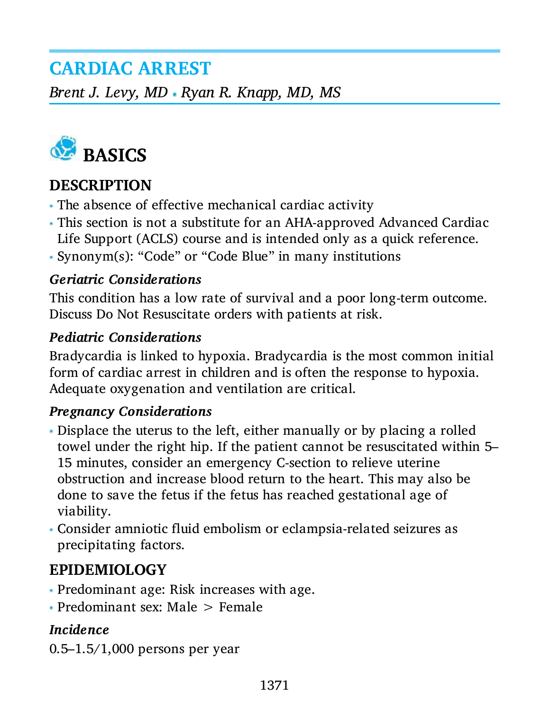## **CARDIAC ARREST**

*Brent J. Levy, MD · Ryan R. Knapp, MD, MS* 



#### **DESCRIPTION**

- The absence of effective mechanical cardiac activity
- This section is not a substitute for an AHA-approved Advanced Cardiac Life Support (ACLS) course and is intended only as a quick reference.
- Synonym(s): "Code" or "Code Blue" in many institutions

#### *Geriatric Considerations*

This condition has a low rate of survival and a poor long-term outcome. Discuss Do Not Resuscitate orders with patients at risk.

#### *Pediatric Considerations*

Bradycardia is linked to hypoxia. Bradycardia is the most common initial form of cardiac arrest in children and is often the response to hypoxia. Adequate oxygenation and ventilation are critical.

#### *Pregnancy Considerations*

- Displace the uterus to the left, either manually or by placing a rolled towel under the right hip. If the patient cannot be resuscitated within 5– 15 minutes, consider an emergency C-section to relieve uterine obstruction and increase blood return to the heart. This may also be done to save the fetus if the fetus has reached gestational age of viability.
- Consider amniotic fluid embolism or eclampsia-related seizures as precipitating factors.

#### **EPIDEMIOLOGY**

- Predominant age: Risk increases with age.
- Predominant sex: Male > Female

#### *Incidence*

0.5–1.5/1,000 persons per year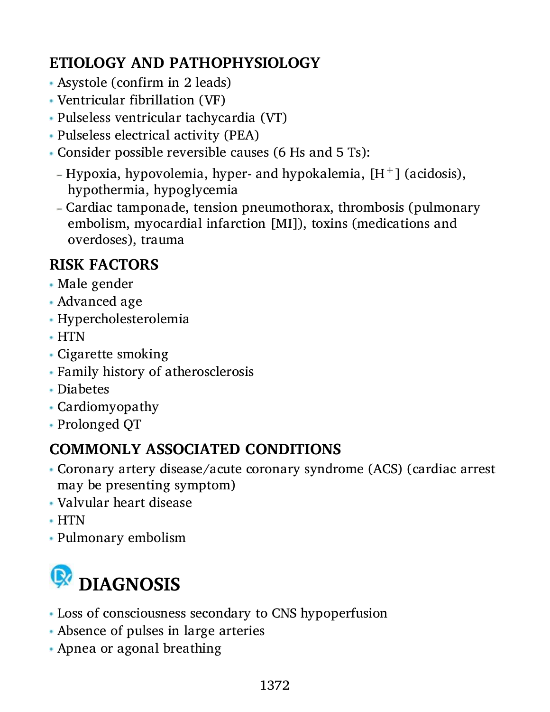## **ETIOLOGY AND PATHOPHYSIOLOGY**

- Asystole (confirm in 2 leads)
- Ventricular fibrillation (VF)
- Pulseless ventricular tachycardia (VT)
- Pulseless electrical activity (PEA)
- Consider possible reversible causes (6 Hs and 5 Ts):
	- Hypoxia, hypovolemia, hyper- and hypokalemia,  $[H^+]$  (acidosis), hypothermia, hypoglycemia
	- Cardiac tamponade, tension pneumothorax, thrombosis (pulmonary embolism, myocardial infarction [MI]), toxins (medications and overdoses), trauma

## **RISK FACTORS**

- Male gender
- Advanced age
- Hypercholesterolemia
- HTN
- Cigarette smoking
- Family history of atherosclerosis
- Diabetes
- Cardiomyopathy
- Prolonged QT

## **COMMONLY ASSOCIATED CONDITIONS**

- Coronary artery disease/acute coronary syndrome (ACS) (cardiac arrest may be presenting symptom)
- Valvular heart disease
- HTN
- Pulmonary embolism



- Loss of consciousness secondary to CNS hypoperfusion
- Absence of pulses in large arteries
- Apnea or agonal breathing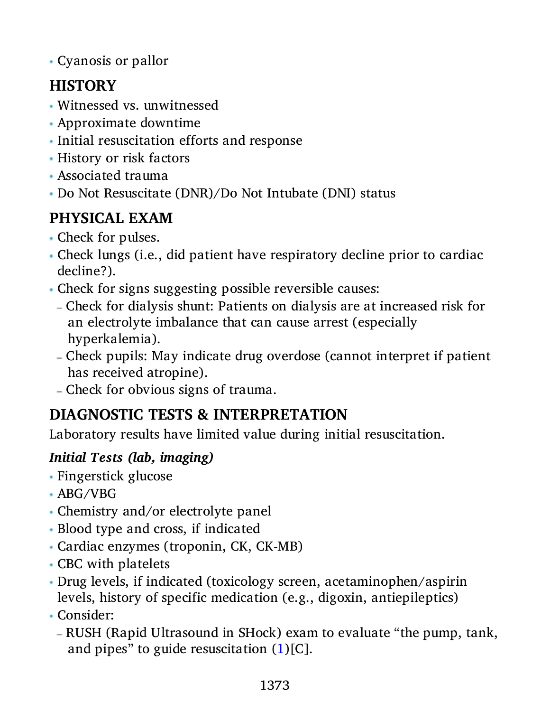Cyanosis or pallor

## **HISTORY**

- Witnessed vs. unwitnessed
- Approximate downtime
- Initial resuscitation efforts and response
- History or risk factors
- Associated trauma
- Do Not Resuscitate (DNR)/Do Not Intubate (DNI) status

## **PHYSICAL EXAM**

- Check for pulses.
- Check lungs (i.e., did patient have respiratory decline prior to cardiac decline?).
- Check for signs suggesting possible reversible causes:
	- Check for dialysis shunt: Patients on dialysis are at increased risk for an electrolyte imbalance that can cause arrest (especially hyperkalemia).
	- Check pupils: May indicate drug overdose (cannot interpret if patient has received atropine).
	- Check for obvious signs of trauma.

## **DIAGNOSTIC TESTS & INTERPRETATION**

Laboratory results have limited value during initial resuscitation.

#### *Initial Tests (lab, imaging)*

- Fingerstick glucose
- ABG/VBG
- Chemistry and/or electrolyte panel
- Blood type and cross, if indicated
- Cardiac enzymes (troponin, CK, CK-MB)
- CBC with platelets
- Drug levels, if indicated (toxicology screen, acetaminophen/aspirin levels, history of specific medication (e.g., digoxin, antiepileptics)
- Consider:
	- RUSH (Rapid Ultrasound in SHock) exam to evaluate "the pump, tank, and pipes" to guide resuscitation  $(1)[C]$  $(1)[C]$  $(1)[C]$ .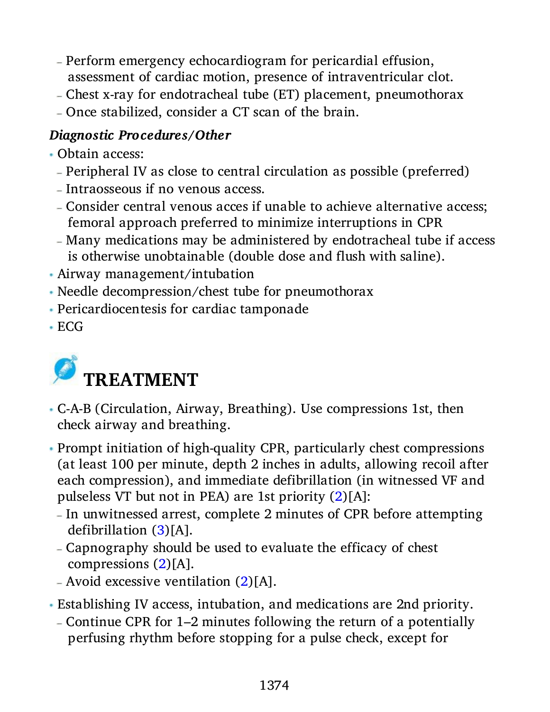- Perform emergency echocardiogram for pericardial effusion, assessment of cardiac motion, presence of intraventricular clot.
- Chest x-ray for endotracheal tube (ET) placement, pneumothorax
- Once stabilized, consider a CT scan of the brain.

#### *Diagnostic Procedures/Other*

- Obtain access:
	- Peripheral IV as close to central circulation as possible (preferred)
	- Intraosseous if no venous access.
	- Consider central venous acces if unable to achieve alternative access; femoral approach preferred to minimize interruptions in CPR
	- Many medications may be administered by endotracheal tube if access is otherwise unobtainable (double dose and flush with saline).
- Airway management/intubation
- Needle decompression/chest tube for pneumothorax
- Pericardiocentesis for cardiac tamponade
- ECG



- C-A-B (Circulation, Airway, Breathing). Use compressions 1st, then check airway and breathing.
- Prompt initiation of high-quality CPR, particularly chest compressions (at least 100 per minute, depth 2 inches in adults, allowing recoil after each compression), and immediate defibrillation (in witnessed VF and pulseless VT but not in PEA) are 1st priority ([2](#page-8-1))[A]:
	- In unwitnessed arrest, complete 2 minutes of CPR before attempting defibrillation ([3](#page-8-2))[A].
	- Capnography should be used to evaluate the efficacy of chest compressions ([2\)](#page-8-1)[A].
	- Avoid excessive ventilation  $(2)[A]$  $(2)[A]$  $(2)[A]$ .
- Establishing IV access, intubation, and medications are 2nd priority.
	- Continue CPR for 1–2 minutes following the return of a potentially perfusing rhythm before stopping for a pulse check, except for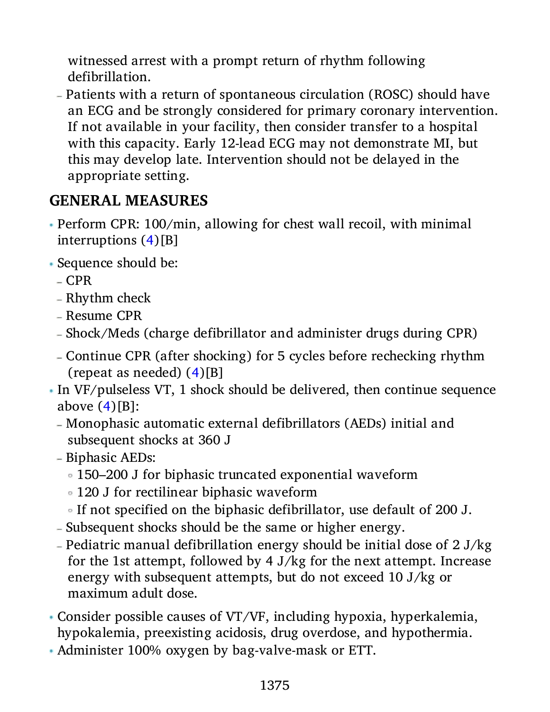witnessed arrest with a prompt return of rhythm following defibrillation.

 Patients with a return of spontaneous circulation (ROSC) should have an ECG and be strongly considered for primary coronary intervention. If not available in your facility, then consider transfer to a hospital with this capacity. Early 12-lead ECG may not demonstrate MI, but this may develop late. Intervention should not be delayed in the appropriate setting.

#### **GENERAL MEASURES**

- Perform CPR: 100/min, allowing for chest wall recoil, with minimal interruptions ([4](#page-8-3))[B]
- Sequence should be:
	- $-CPR$
	- Rhythm check
	- Resume CPR
	- Shock/Meds (charge defibrillator and administer drugs during CPR)
	- Continue CPR (after shocking) for 5 cycles before rechecking rhythm (repeat as needed) ([4](#page-8-3))[B]
- In VF/pulseless VT, 1 shock should be delivered, then continue sequence above  $(4)[B]$  $(4)[B]$  $(4)[B]$ :
	- Monophasic automatic external defibrillators (AEDs) initial and subsequent shocks at 360 J
	- Biphasic AEDs:
		- 150–200 J for biphasic truncated exponential waveform
		- 120 J for rectilinear biphasic waveform
		- If not specified on the biphasic defibrillator, use default of 200 J.
	- Subsequent shocks should be the same or higher energy.
	- Pediatric manual defibrillation energy should be initial dose of  $2 J/kg$ for the 1st attempt, followed by 4 J/kg for the next attempt. Increase energy with subsequent attempts, but do not exceed 10 J/kg or maximum adult dose.
- Consider possible causes of VT/VF, including hypoxia, hyperkalemia, hypokalemia, preexisting acidosis, drug overdose, and hypothermia.
- Administer 100% oxygen by bag-valve-mask or ETT.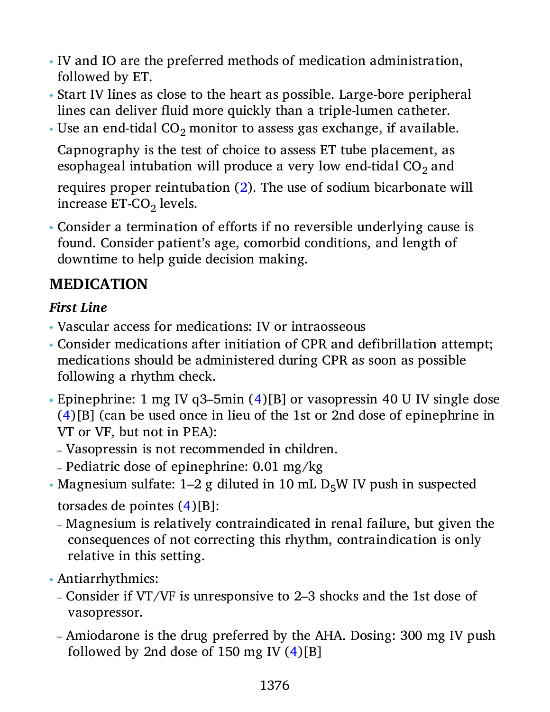- IV and IO are the preferred methods of medication administration, followed by ET.
- Start IV lines as close to the heart as possible. Large-bore peripheral lines can deliver fluid more quickly than a triple-lumen catheter.
- Use an end-tidal  $CO_2$  monitor to assess gas exchange, if available.

Capnography is the test of choice to assess ET tube placement, as esophageal intubation will produce a very low end-tidal CO $_2$  and

requires proper reintubation [\(2\)](#page-8-1). The use of sodium bicarbonate will increase ET-CO<sub>2</sub> levels.

 Consider a termination of efforts if no reversible underlying cause is found. Consider patient's age, comorbid conditions, and length of downtime to help guide decision making.

#### **MEDICATION**

#### *First Line*

- Vascular access for medications: IV or intraosseous
- Consider medications after initiation of CPR and defibrillation attempt; medications should be administered during CPR as soon as possible following a rhythm check.
- Epinephrine: 1 mg IV q3–5min ([4](#page-8-3))[B] or vasopressin 40 U IV single dose ([4](#page-8-3))[B] (can be used once in lieu of the 1st or 2nd dose of epinephrine in VT or VF, but not in PEA):
	- Vasopressin is not recommended in children.
	- Pediatric dose of epinephrine:  $0.01 \text{ mg/kg}$
- Magnesium sulfate: 1–2 g diluted in 10 mL  $D<sub>5</sub>W$  IV push in suspected torsades de pointes ([4](#page-8-3))[B]:
	- Magnesium is relatively contraindicated in renal failure, but given the consequences of not correcting this rhythm, contraindication is only relative in this setting.
- Antiarrhythmics:
	- Consider if VT/VF is unresponsive to 2–3 shocks and the 1st dose of vasopressor.
	- Amiodarone is the drug preferred by the AHA. Dosing: 300 mg IV push followed by 2nd dose of 150 mg IV  $(4)[B]$  $(4)[B]$  $(4)[B]$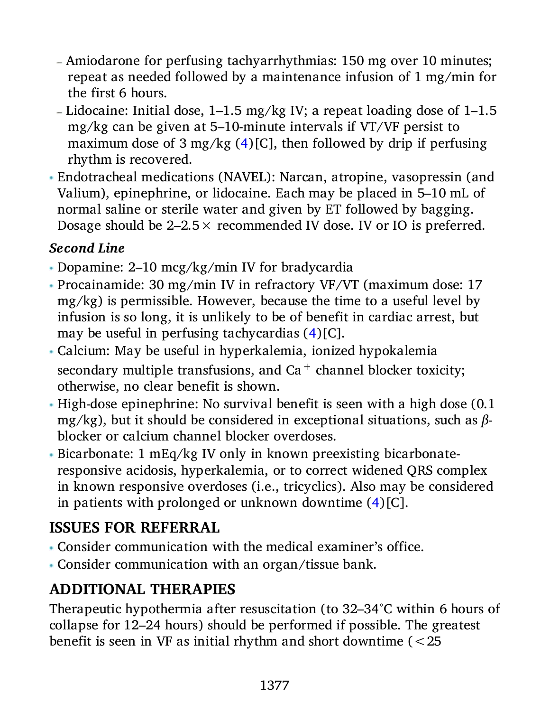- Amiodarone for perfusing tachyarrhythmias: 150 mg over 10 minutes; repeat as needed followed by a maintenance infusion of 1 mg/min for the first 6 hours.
- Lidocaine: Initial dose,  $1-1.5$  mg/kg IV; a repeat loading dose of  $1-1.5$ mg/kg can be given at 5–10-minute intervals if VT/VF persist to maximum dose of 3 mg/kg  $(4)[C]$  $(4)[C]$  $(4)[C]$ , then followed by drip if perfusing rhythm is recovered.
- Endotracheal medications (NAVEL): Narcan, atropine, vasopressin (and Valium), epinephrine, or lidocaine. Each may be placed in 5–10 mL of normal saline or sterile water and given by ET followed by bagging. Dosage should be  $2-2.5 \times$  recommended IV dose. IV or IO is preferred.

#### *Second Line*

- Dopamine: 2–10 mcg/kg/min IV for bradycardia
- Procainamide: 30 mg/min IV in refractory VF/VT (maximum dose: 17 mg/kg) is permissible. However, because the time to a useful level by infusion is so long, it is unlikely to be of benefit in cardiac arrest, but may be useful in perfusing tachycardias ([4\)](#page-8-3)[C].
- Calcium: May be useful in hyperkalemia, ionized hypokalemia secondary multiple transfusions, and  $Ca^+$  channel blocker toxicity; otherwise, no clear benefit is shown.
- High-dose epinephrine: No survival benefit is seen with a high dose (0.1 mg/kg), but it should be considered in exceptional situations, such as *β*blocker or calcium channel blocker overdoses.
- Bicarbonate: 1 mEq/kg IV only in known preexisting bicarbonateresponsive acidosis, hyperkalemia, or to correct widened QRS complex in known responsive overdoses (i.e., tricyclics). Also may be considered in patients with prolonged or unknown downtime [\(4](#page-8-3))[C].

## **ISSUES FOR REFERRAL**

- Consider communication with the medical examiner's office.
- Consider communication with an organ/tissue bank.

## **ADDITIONAL THERAPIES**

Therapeutic hypothermia after resuscitation (to 32–34°C within 6 hours of collapse for 12–24 hours) should be performed if possible. The greatest benefit is seen in VF as initial rhythm and short downtime (<25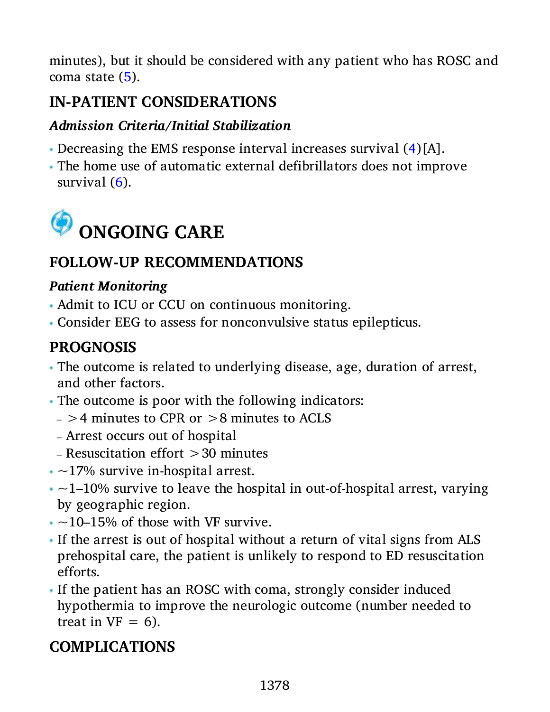minutes), but it should be considered with any patient who has ROSC and coma state ([5\)](#page-8-4).

## **IN-PATIENT CONSIDERATIONS**

#### *Admission Criteria/Initial Stabilization*

- Decreasing the EMS response interval increases survival ([4\)](#page-8-3)[A].
- The home use of automatic external defibrillators does not improve survival ([6\)](#page-8-5).



## **FOLLOW-UP RECOMMENDATIONS**

#### *Patient Monitoring*

- Admit to ICU or CCU on continuous monitoring.
- Consider EEG to assess for nonconvulsive status epilepticus.

## **PROGNOSIS**

- The outcome is related to underlying disease, age, duration of arrest, and other factors.
- The outcome is poor with the following indicators:
	- $-$  >4 minutes to CPR or >8 minutes to ACLS
	- Arrest occurs out of hospital
	- $R$  Resuscitation effort  $>30$  minutes
- $\sim$  17% survive in-hospital arrest.
- $\cdot$   $\sim$ 1–10% survive to leave the hospital in out-of-hospital arrest, varying by geographic region.
- $\cdot$  ~10–15% of those with VF survive.
- If the arrest is out of hospital without a return of vital signs from ALS prehospital care, the patient is unlikely to respond to ED resuscitation efforts.
- If the patient has an ROSC with coma, strongly consider induced hypothermia to improve the neurologic outcome (number needed to treat in  $VF = 6$ ).

## **COMPLICATIONS**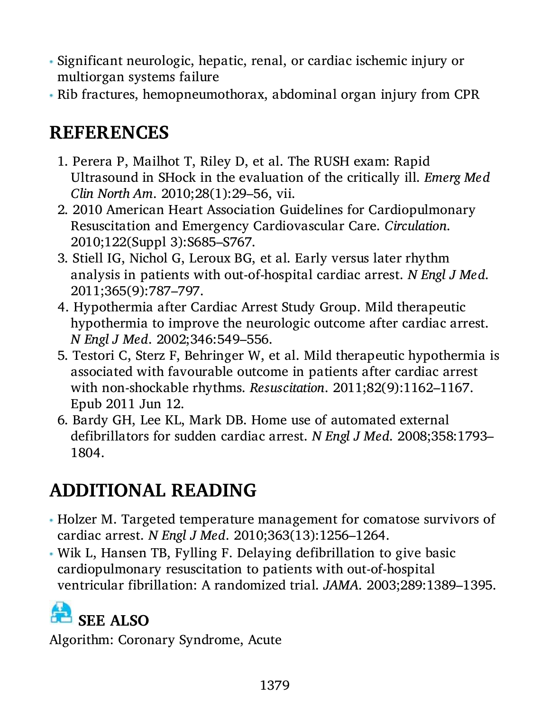- Significant neurologic, hepatic, renal, or cardiac ischemic injury or multiorgan systems failure
- Rib fractures, hemopneumothorax, abdominal organ injury from CPR

# **REFERENCES**

- <span id="page-8-0"></span>1. Perera P, Mailhot T, Riley D, et al. The RUSH exam: Rapid Ultrasound in SHock in the evaluation of the critically ill. *Emerg Med Clin North Am*. 2010;28(1):29–56, vii.
- <span id="page-8-1"></span>2. 2010 American Heart Association Guidelines for Cardiopulmonary Resuscitation and Emergency Cardiovascular Care. *Circulation*. 2010;122(Suppl 3):S685–S767.
- <span id="page-8-2"></span>3. Stiell IG, Nichol G, Leroux BG, et al. Early versus later rhythm analysis in patients with out-of-hospital cardiac arrest. *N Engl J Med*. 2011;365(9):787–797.
- <span id="page-8-3"></span>4. Hypothermia after Cardiac Arrest Study Group. Mild therapeutic hypothermia to improve the neurologic outcome after cardiac arrest. *N Engl J Med*. 2002;346:549–556.
- <span id="page-8-4"></span>5. Testori C, Sterz F, Behringer W, et al. Mild therapeutic hypothermia is associated with favourable outcome in patients after cardiac arrest with non-shockable rhythms. *Resuscitation*. 2011;82(9):1162–1167. Epub 2011 Jun 12.
- <span id="page-8-5"></span>6. Bardy GH, Lee KL, Mark DB. Home use of automated external defibrillators for sudden cardiac arrest. *N Engl J Med*. 2008;358:1793– 1804.

# **ADDITIONAL READING**

- Holzer M. Targeted temperature management for comatose survivors of cardiac arrest. *N Engl J Med*. 2010;363(13):1256–1264.
- Wik L, Hansen TB, Fylling F. Delaying defibrillation to give basic cardiopulmonary resuscitation to patients with out-of-hospital ventricular fibrillation: A randomized trial. *JAMA*. 2003;289:1389–1395.

# **R** SEE ALSO

Algorithm: Coronary Syndrome, Acute